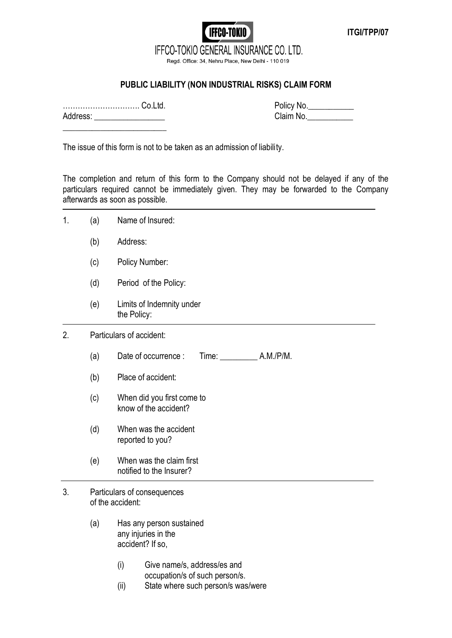## **IFFCO-TOKIO** IFFCO-TOKIO GENERAL INSURANCE CO. LTD.

Regd. Office: 34, Nehru Place, New Delhi - 110 019

## **PUBLIC LIABILITY (NON INDUSTRIAL RISKS) CLAIM FORM**

…………………………. Co.Ltd. Policy No.\_\_\_\_\_\_\_\_\_\_\_ Address:  $\overline{\phantom{a}}$ 

| Policy No. |  |
|------------|--|
| Claim No.  |  |

**ITGI/TPP/07**

The issue of this form is not to be taken as an admission of liability.

The completion and return of this form to the Company should not be delayed if any of the particulars required cannot be immediately given. They may be forwarded to the Company afterwards as soon as possible.

| 1. | (a) | Name of Insured:                                                                                                   |  |
|----|-----|--------------------------------------------------------------------------------------------------------------------|--|
|    | (b) | Address:                                                                                                           |  |
|    | (c) | Policy Number:                                                                                                     |  |
|    | (d) | Period of the Policy:                                                                                              |  |
|    | (e) | Limits of Indemnity under<br>the Policy:                                                                           |  |
| 2. |     | Particulars of accident:                                                                                           |  |
|    | (a) | A.M./P/M.<br>Date of occurrence :<br>Time:                                                                         |  |
|    | (b) | Place of accident:                                                                                                 |  |
|    | (c) | When did you first come to<br>know of the accident?                                                                |  |
|    | (d) | When was the accident<br>reported to you?                                                                          |  |
|    | (e) | When was the claim first<br>notified to the Insurer?                                                               |  |
| 3. |     | Particulars of consequences<br>of the accident:                                                                    |  |
|    | (a) | Has any person sustained<br>any injuries in the<br>accident? If so,                                                |  |
|    |     | (i)<br>Give name/s, address/es and<br>occupation/s of such person/s.<br>State where such person/s was/were<br>(ii) |  |